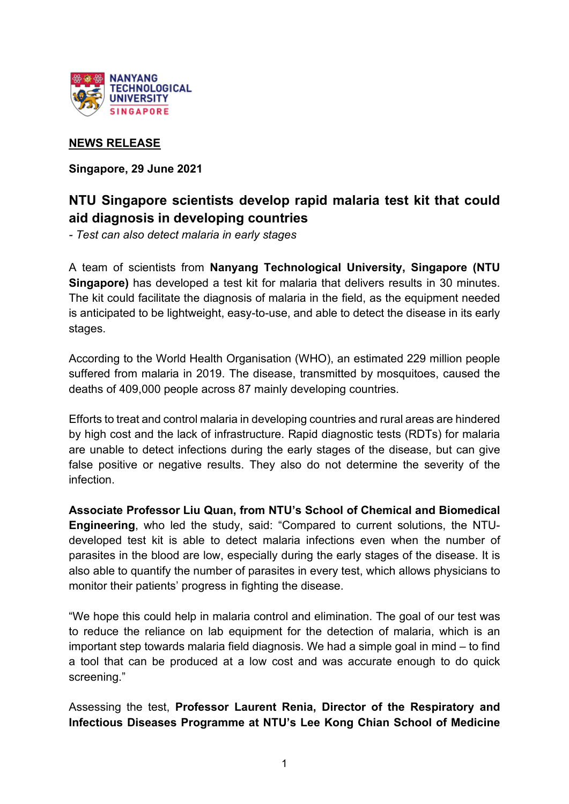

## **NEWS RELEASE**

**Singapore, 29 June 2021**

# **NTU Singapore scientists develop rapid malaria test kit that could aid diagnosis in developing countries**

*- Test can also detect malaria in early stages*

A team of scientists from **Nanyang Technological University, Singapore (NTU Singapore)** has developed a test kit for malaria that delivers results in 30 minutes. The kit could facilitate the diagnosis of malaria in the field, as the equipment needed is anticipated to be lightweight, easy-to-use, and able to detect the disease in its early stages.

According to the World Health Organisation (WHO), an estimated 229 million people suffered from malaria in 2019. The disease, transmitted by mosquitoes, caused the deaths of 409,000 people across 87 mainly developing countries.

Efforts to treat and control malaria in developing countries and rural areas are hindered by high cost and the lack of infrastructure. Rapid diagnostic tests (RDTs) for malaria are unable to detect infections during the early stages of the disease, but can give false positive or negative results. They also do not determine the severity of the infection.

**Associate Professor Liu Quan, from NTU's School of Chemical and Biomedical Engineering**, who led the study, said: "Compared to current solutions, the NTUdeveloped test kit is able to detect malaria infections even when the number of parasites in the blood are low, especially during the early stages of the disease. It is also able to quantify the number of parasites in every test, which allows physicians to monitor their patients' progress in fighting the disease.

"We hope this could help in malaria control and elimination. The goal of our test was to reduce the reliance on lab equipment for the detection of malaria, which is an important step towards malaria field diagnosis. We had a simple goal in mind – to find a tool that can be produced at a low cost and was accurate enough to do quick screening."

Assessing the test, **Professor Laurent Renia, Director of the Respiratory and Infectious Diseases Programme at NTU's Lee Kong Chian School of Medicine**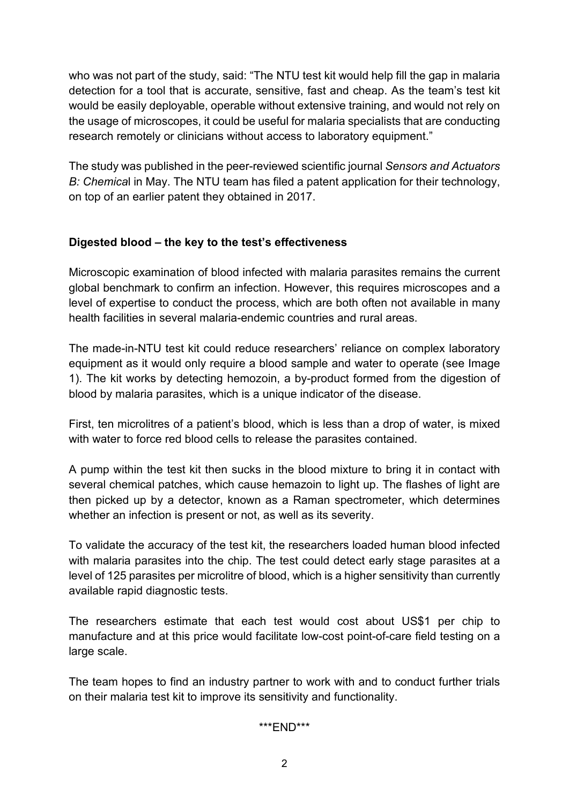who was not part of the study, said: "The NTU test kit would help fill the gap in malaria detection for a tool that is accurate, sensitive, fast and cheap. As the team's test kit would be easily deployable, operable without extensive training, and would not rely on the usage of microscopes, it could be useful for malaria specialists that are conducting research remotely or clinicians without access to laboratory equipment."

The study was published in the peer-reviewed scientific journal *Sensors and Actuators B: Chemica*l in May. The NTU team has filed a patent application for their technology, on top of an earlier patent they obtained in 2017.

### **Digested blood – the key to the test's effectiveness**

Microscopic examination of blood infected with malaria parasites remains the current global benchmark to confirm an infection. However, this requires microscopes and a level of expertise to conduct the process, which are both often not available in many health facilities in several malaria-endemic countries and rural areas.

The made-in-NTU test kit could reduce researchers' reliance on complex laboratory equipment as it would only require a blood sample and water to operate (see Image 1). The kit works by detecting hemozoin, a by-product formed from the digestion of blood by malaria parasites, which is a unique indicator of the disease.

First, ten microlitres of a patient's blood, which is less than a drop of water, is mixed with water to force red blood cells to release the parasites contained.

A pump within the test kit then sucks in the blood mixture to bring it in contact with several chemical patches, which cause hemazoin to light up. The flashes of light are then picked up by a detector, known as a Raman spectrometer, which determines whether an infection is present or not, as well as its severity.

To validate the accuracy of the test kit, the researchers loaded human blood infected with malaria parasites into the chip. The test could detect early stage parasites at a level of 125 parasites per microlitre of blood, which is a higher sensitivity than currently available rapid diagnostic tests.

The researchers estimate that each test would cost about US\$1 per chip to manufacture and at this price would facilitate low-cost point-of-care field testing on a large scale.

The team hopes to find an industry partner to work with and to conduct further trials on their malaria test kit to improve its sensitivity and functionality.

#### \*\*\*END\*\*\*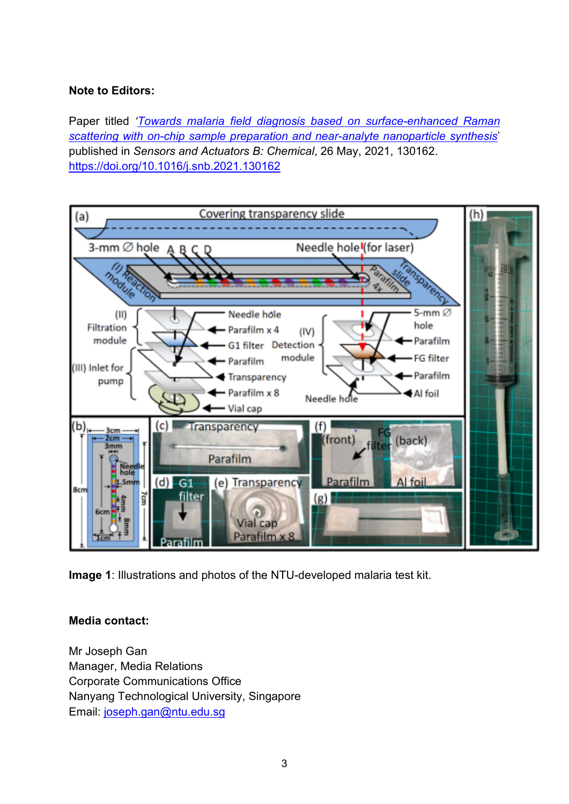#### **Note to Editors:**

Paper titled *['Towards malaria field diagnosis based on surface-enhanced Raman](https://www3.ntu.edu.sg/CorpComms2/Releases/NR2021/NR_210621_Malaria/malaria_Test.pdf)  [scattering with on-chip sample preparation and near-analyte nanoparticle synthesis](https://www3.ntu.edu.sg/CorpComms2/Releases/NR2021/NR_210621_Malaria/malaria_Test.pdf)*' published in *Sensors and Actuators B: Chemical*, 26 May, 2021, 130162. <https://doi.org/10.1016/j.snb.2021.130162>



**Image 1**: Illustrations and photos of the NTU-developed malaria test kit.

#### **Media contact:**

Mr Joseph Gan Manager, Media Relations Corporate Communications Office Nanyang Technological University, Singapore Email: [joseph.gan@ntu.edu.sg](mailto:joseph.gan@ntu.edu.sg)